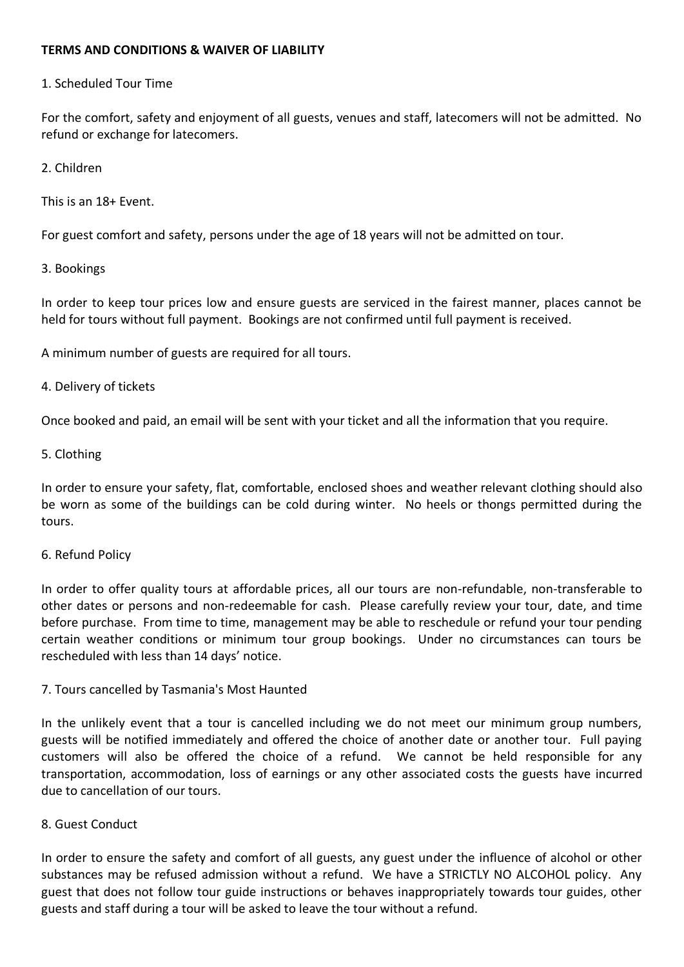## **TERMS AND CONDITIONS & WAIVER OF LIABILITY**

## 1. Scheduled Tour Time

For the comfort, safety and enjoyment of all guests, venues and staff, latecomers will not be admitted. No refund or exchange for latecomers.

## 2. Children

This is an 18+ Event.

For guest comfort and safety, persons under the age of 18 years will not be admitted on tour.

## 3. Bookings

In order to keep tour prices low and ensure guests are serviced in the fairest manner, places cannot be held for tours without full payment. Bookings are not confirmed until full payment is received.

A minimum number of guests are required for all tours.

## 4. Delivery of tickets

Once booked and paid, an email will be sent with your ticket and all the information that you require.

## 5. Clothing

In order to ensure your safety, flat, comfortable, enclosed shoes and weather relevant clothing should also be worn as some of the buildings can be cold during winter. No heels or thongs permitted during the tours.

#### 6. Refund Policy

In order to offer quality tours at affordable prices, all our tours are non-refundable, non-transferable to other dates or persons and non-redeemable for cash. Please carefully review your tour, date, and time before purchase. From time to time, management may be able to reschedule or refund your tour pending certain weather conditions or minimum tour group bookings. Under no circumstances can tours be rescheduled with less than 14 days' notice.

#### 7. Tours cancelled by Tasmania's Most Haunted

In the unlikely event that a tour is cancelled including we do not meet our minimum group numbers, guests will be notified immediately and offered the choice of another date or another tour. Full paying customers will also be offered the choice of a refund. We cannot be held responsible for any transportation, accommodation, loss of earnings or any other associated costs the guests have incurred due to cancellation of our tours.

## 8. Guest Conduct

In order to ensure the safety and comfort of all guests, any guest under the influence of alcohol or other substances may be refused admission without a refund. We have a STRICTLY NO ALCOHOL policy. Any guest that does not follow tour guide instructions or behaves inappropriately towards tour guides, other guests and staff during a tour will be asked to leave the tour without a refund.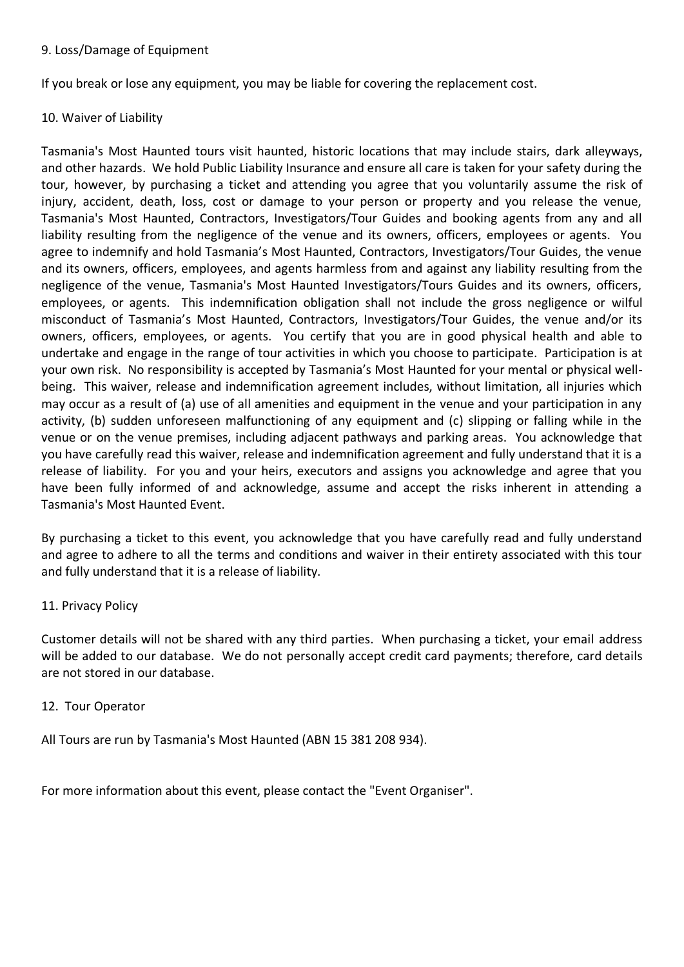## 9. Loss/Damage of Equipment

If you break or lose any equipment, you may be liable for covering the replacement cost.

# 10. Waiver of Liability

Tasmania's Most Haunted tours visit haunted, historic locations that may include stairs, dark alleyways, and other hazards. We hold Public Liability Insurance and ensure all care is taken for your safety during the tour, however, by purchasing a ticket and attending you agree that you voluntarily assume the risk of injury, accident, death, loss, cost or damage to your person or property and you release the venue, Tasmania's Most Haunted, Contractors, Investigators/Tour Guides and booking agents from any and all liability resulting from the negligence of the venue and its owners, officers, employees or agents. You agree to indemnify and hold Tasmania's Most Haunted, Contractors, Investigators/Tour Guides, the venue and its owners, officers, employees, and agents harmless from and against any liability resulting from the negligence of the venue, Tasmania's Most Haunted Investigators/Tours Guides and its owners, officers, employees, or agents. This indemnification obligation shall not include the gross negligence or wilful misconduct of Tasmania's Most Haunted, Contractors, Investigators/Tour Guides, the venue and/or its owners, officers, employees, or agents. You certify that you are in good physical health and able to undertake and engage in the range of tour activities in which you choose to participate. Participation is at your own risk. No responsibility is accepted by Tasmania's Most Haunted for your mental or physical wellbeing. This waiver, release and indemnification agreement includes, without limitation, all injuries which may occur as a result of (a) use of all amenities and equipment in the venue and your participation in any activity, (b) sudden unforeseen malfunctioning of any equipment and (c) slipping or falling while in the venue or on the venue premises, including adjacent pathways and parking areas. You acknowledge that you have carefully read this waiver, release and indemnification agreement and fully understand that it is a release of liability. For you and your heirs, executors and assigns you acknowledge and agree that you have been fully informed of and acknowledge, assume and accept the risks inherent in attending a Tasmania's Most Haunted Event.

By purchasing a ticket to this event, you acknowledge that you have carefully read and fully understand and agree to adhere to all the terms and conditions and waiver in their entirety associated with this tour and fully understand that it is a release of liability.

## 11. Privacy Policy

Customer details will not be shared with any third parties. When purchasing a ticket, your email address will be added to our database. We do not personally accept credit card payments; therefore, card details are not stored in our database.

## 12. Tour Operator

All Tours are run by Tasmania's Most Haunted (ABN 15 381 208 934).

For more information about this event, please contact the "Event Organiser".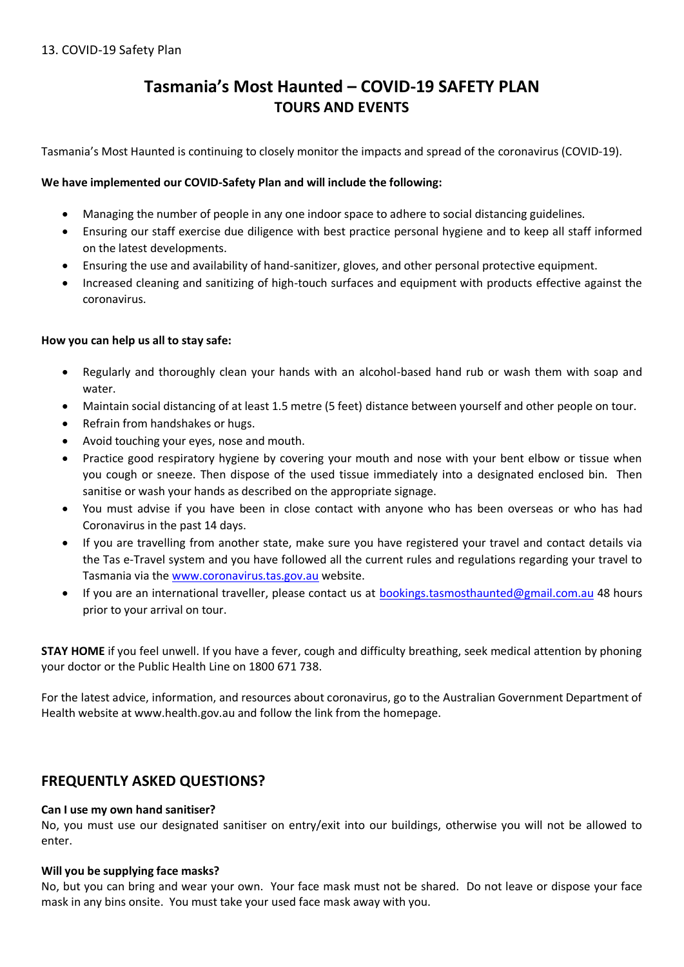# **Tasmania's Most Haunted – COVID-19 SAFETY PLAN TOURS AND EVENTS**

Tasmania's Most Haunted is continuing to closely monitor the impacts and spread of the coronavirus (COVID-19).

## **We have implemented our COVID-Safety Plan and will include the following:**

- Managing the number of people in any one indoor space to adhere to social distancing guidelines.
- Ensuring our staff exercise due diligence with best practice personal hygiene and to keep all staff informed on the latest developments.
- Ensuring the use and availability of hand-sanitizer, gloves, and other personal protective equipment.
- Increased cleaning and sanitizing of high-touch surfaces and equipment with products effective against the coronavirus.

## **How you can help us all to stay safe:**

- Regularly and thoroughly clean your hands with an alcohol-based hand rub or wash them with soap and water.
- Maintain social distancing of at least 1.5 metre (5 feet) distance between yourself and other people on tour.
- Refrain from handshakes or hugs.
- Avoid touching your eyes, nose and mouth.
- Practice good respiratory hygiene by covering your mouth and nose with your bent elbow or tissue when you cough or sneeze. Then dispose of the used tissue immediately into a designated enclosed bin. Then sanitise or wash your hands as described on the appropriate signage.
- You must advise if you have been in close contact with anyone who has been overseas or who has had Coronavirus in the past 14 days.
- If you are travelling from another state, make sure you have registered your travel and contact details via the Tas e-Travel system and you have followed all the current rules and regulations regarding your travel to Tasmania via th[e www.coronavirus.tas.gov.au](http://www.coronavirus.tas.gov.au/) website.
- If you are an international traveller, please contact us at **bookings.tasmosthaunted@gmail.com.au** 48 hours prior to your arrival on tour.

**STAY HOME** if you feel unwell. If you have a fever, cough and difficulty breathing, seek medical attention by phoning your doctor or the Public Health Line on 1800 671 738.

For the latest advice, information, and resources about coronavirus, go to the Australian Government Department of Health website at www.health.gov.au and follow the link from the homepage.

# **FREQUENTLY ASKED QUESTIONS?**

#### **Can I use my own hand sanitiser?**

No, you must use our designated sanitiser on entry/exit into our buildings, otherwise you will not be allowed to enter.

#### **Will you be supplying face masks?**

No, but you can bring and wear your own. Your face mask must not be shared. Do not leave or dispose your face mask in any bins onsite. You must take your used face mask away with you.